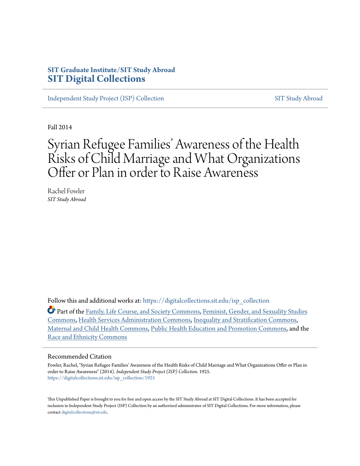# **SIT Graduate Institute/SIT Study Abroad [SIT Digital Collections](https://digitalcollections.sit.edu?utm_source=digitalcollections.sit.edu%2Fisp_collection%2F1925&utm_medium=PDF&utm_campaign=PDFCoverPages)**

[Independent Study Project \(ISP\) Collection](https://digitalcollections.sit.edu/isp_collection?utm_source=digitalcollections.sit.edu%2Fisp_collection%2F1925&utm_medium=PDF&utm_campaign=PDFCoverPages) [SIT Study Abroad](https://digitalcollections.sit.edu/study_abroad?utm_source=digitalcollections.sit.edu%2Fisp_collection%2F1925&utm_medium=PDF&utm_campaign=PDFCoverPages)

Fall 2014

# Syrian Refugee Families' Awareness of the Health Risks of Child Marriage and What Organizations Offer or Plan in order to Raise Awareness

Rachel Fowler *SIT Study Abroad*

Follow this and additional works at: [https://digitalcollections.sit.edu/isp\\_collection](https://digitalcollections.sit.edu/isp_collection?utm_source=digitalcollections.sit.edu%2Fisp_collection%2F1925&utm_medium=PDF&utm_campaign=PDFCoverPages)

Part of the [Family, Life Course, and Society Commons](http://network.bepress.com/hgg/discipline/419?utm_source=digitalcollections.sit.edu%2Fisp_collection%2F1925&utm_medium=PDF&utm_campaign=PDFCoverPages), [Feminist, Gender, and Sexuality Studies](http://network.bepress.com/hgg/discipline/559?utm_source=digitalcollections.sit.edu%2Fisp_collection%2F1925&utm_medium=PDF&utm_campaign=PDFCoverPages) [Commons,](http://network.bepress.com/hgg/discipline/559?utm_source=digitalcollections.sit.edu%2Fisp_collection%2F1925&utm_medium=PDF&utm_campaign=PDFCoverPages) [Health Services Administration Commons,](http://network.bepress.com/hgg/discipline/747?utm_source=digitalcollections.sit.edu%2Fisp_collection%2F1925&utm_medium=PDF&utm_campaign=PDFCoverPages) [Inequality and Stratification Commons,](http://network.bepress.com/hgg/discipline/421?utm_source=digitalcollections.sit.edu%2Fisp_collection%2F1925&utm_medium=PDF&utm_campaign=PDFCoverPages) [Maternal and Child Health Commons,](http://network.bepress.com/hgg/discipline/745?utm_source=digitalcollections.sit.edu%2Fisp_collection%2F1925&utm_medium=PDF&utm_campaign=PDFCoverPages) [Public Health Education and Promotion Commons](http://network.bepress.com/hgg/discipline/743?utm_source=digitalcollections.sit.edu%2Fisp_collection%2F1925&utm_medium=PDF&utm_campaign=PDFCoverPages), and the [Race and Ethnicity Commons](http://network.bepress.com/hgg/discipline/426?utm_source=digitalcollections.sit.edu%2Fisp_collection%2F1925&utm_medium=PDF&utm_campaign=PDFCoverPages)

#### Recommended Citation

Fowler, Rachel, "Syrian Refugee Families' Awareness of the Health Risks of Child Marriage and What Organizations Offer or Plan in order to Raise Awareness" (2014). *Independent Study Project (ISP) Collection*. 1925. [https://digitalcollections.sit.edu/isp\\_collection/1925](https://digitalcollections.sit.edu/isp_collection/1925?utm_source=digitalcollections.sit.edu%2Fisp_collection%2F1925&utm_medium=PDF&utm_campaign=PDFCoverPages)

This Unpublished Paper is brought to you for free and open access by the SIT Study Abroad at SIT Digital Collections. It has been accepted for inclusion in Independent Study Project (ISP) Collection by an authorized administrator of SIT Digital Collections. For more information, please contact [digitalcollections@sit.edu](mailto:digitalcollections@sit.edu).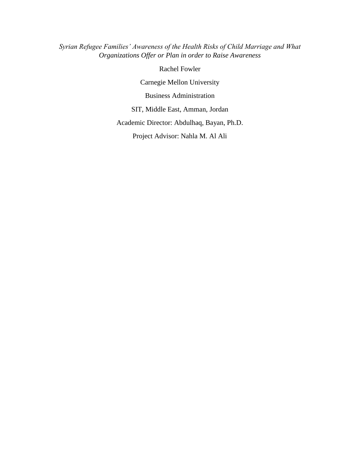*Syrian Refugee Families' Awareness of the Health Risks of Child Marriage and What Organizations Offer or Plan in order to Raise Awareness*

Rachel Fowler

Carnegie Mellon University

Business Administration

SIT, Middle East, Amman, Jordan

Academic Director: Abdulhaq, Bayan, Ph.D.

Project Advisor: Nahla M. Al Ali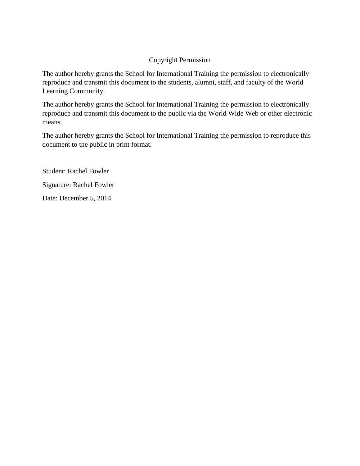# Copyright Permission

The author hereby grants the School for International Training the permission to electronically reproduce and transmit this document to the students, alumni, staff, and faculty of the World Learning Community.

The author hereby grants the School for International Training the permission to electronically reproduce and transmit this document to the public via the World Wide Web or other electronic means.

The author hereby grants the School for International Training the permission to reproduce this document to the public in print format.

Student: Rachel Fowler Signature: Rachel Fowler Date: December 5, 2014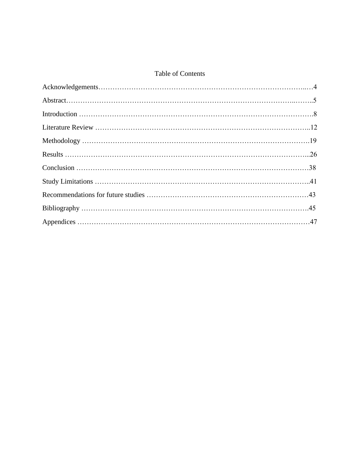# Table of Contents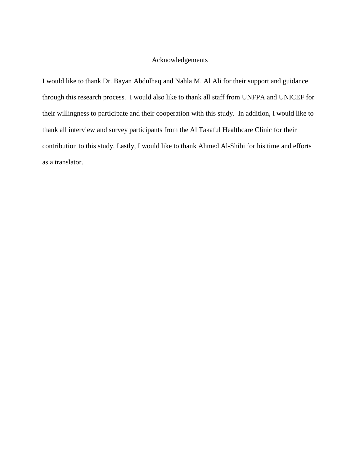# Acknowledgements

I would like to thank Dr. Bayan Abdulhaq and Nahla M. Al Ali for their support and guidance through this research process. I would also like to thank all staff from UNFPA and UNICEF for their willingness to participate and their cooperation with this study. In addition, I would like to thank all interview and survey participants from the Al Takaful Healthcare Clinic for their contribution to this study. Lastly, I would like to thank Ahmed Al-Shibi for his time and efforts as a translator.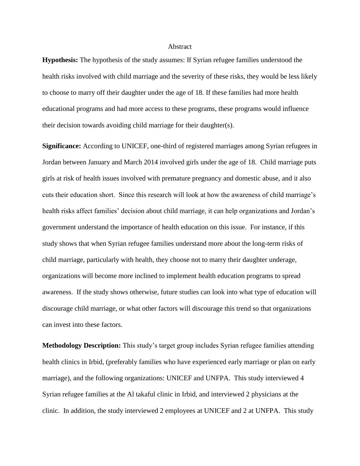#### **Abstract**

**Hypothesis:** The hypothesis of the study assumes: If Syrian refugee families understood the health risks involved with child marriage and the severity of these risks, they would be less likely to choose to marry off their daughter under the age of 18. If these families had more health educational programs and had more access to these programs, these programs would influence their decision towards avoiding child marriage for their daughter(s).

**Significance:** According to UNICEF, one-third of registered marriages among Syrian refugees in Jordan between January and March 2014 involved girls under the age of 18. Child marriage puts girls at risk of health issues involved with premature pregnancy and domestic abuse, and it also cuts their education short. Since this research will look at how the awareness of child marriage's health risks affect families' decision about child marriage, it can help organizations and Jordan's government understand the importance of health education on this issue. For instance, if this study shows that when Syrian refugee families understand more about the long-term risks of child marriage, particularly with health, they choose not to marry their daughter underage, organizations will become more inclined to implement health education programs to spread awareness. If the study shows otherwise, future studies can look into what type of education will discourage child marriage, or what other factors will discourage this trend so that organizations can invest into these factors.

**Methodology Description:** This study's target group includes Syrian refugee families attending health clinics in Irbid, (preferably families who have experienced early marriage or plan on early marriage), and the following organizations: UNICEF and UNFPA. This study interviewed 4 Syrian refugee families at the Al takaful clinic in Irbid, and interviewed 2 physicians at the clinic. In addition, the study interviewed 2 employees at UNICEF and 2 at UNFPA. This study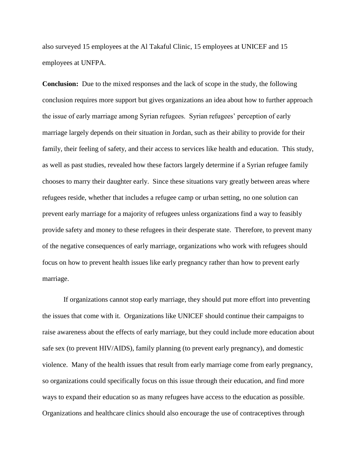also surveyed 15 employees at the Al Takaful Clinic, 15 employees at UNICEF and 15 employees at UNFPA.

**Conclusion:** Due to the mixed responses and the lack of scope in the study, the following conclusion requires more support but gives organizations an idea about how to further approach the issue of early marriage among Syrian refugees. Syrian refugees' perception of early marriage largely depends on their situation in Jordan, such as their ability to provide for their family, their feeling of safety, and their access to services like health and education. This study, as well as past studies, revealed how these factors largely determine if a Syrian refugee family chooses to marry their daughter early. Since these situations vary greatly between areas where refugees reside, whether that includes a refugee camp or urban setting, no one solution can prevent early marriage for a majority of refugees unless organizations find a way to feasibly provide safety and money to these refugees in their desperate state. Therefore, to prevent many of the negative consequences of early marriage, organizations who work with refugees should focus on how to prevent health issues like early pregnancy rather than how to prevent early marriage.

If organizations cannot stop early marriage, they should put more effort into preventing the issues that come with it. Organizations like UNICEF should continue their campaigns to raise awareness about the effects of early marriage, but they could include more education about safe sex (to prevent HIV/AIDS), family planning (to prevent early pregnancy), and domestic violence. Many of the health issues that result from early marriage come from early pregnancy, so organizations could specifically focus on this issue through their education, and find more ways to expand their education so as many refugees have access to the education as possible. Organizations and healthcare clinics should also encourage the use of contraceptives through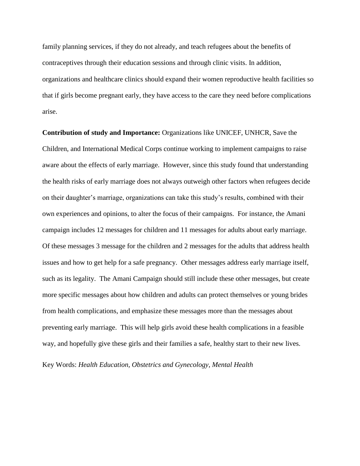family planning services, if they do not already, and teach refugees about the benefits of contraceptives through their education sessions and through clinic visits. In addition, organizations and healthcare clinics should expand their women reproductive health facilities so that if girls become pregnant early, they have access to the care they need before complications arise.

**Contribution of study and Importance:** Organizations like UNICEF, UNHCR, Save the Children, and International Medical Corps continue working to implement campaigns to raise aware about the effects of early marriage. However, since this study found that understanding the health risks of early marriage does not always outweigh other factors when refugees decide on their daughter's marriage, organizations can take this study's results, combined with their own experiences and opinions, to alter the focus of their campaigns. For instance, the Amani campaign includes 12 messages for children and 11 messages for adults about early marriage. Of these messages 3 message for the children and 2 messages for the adults that address health issues and how to get help for a safe pregnancy. Other messages address early marriage itself, such as its legality. The Amani Campaign should still include these other messages, but create more specific messages about how children and adults can protect themselves or young brides from health complications, and emphasize these messages more than the messages about preventing early marriage. This will help girls avoid these health complications in a feasible way, and hopefully give these girls and their families a safe, healthy start to their new lives.

Key Words: *Health Education, Obstetrics and Gynecology, Mental Health*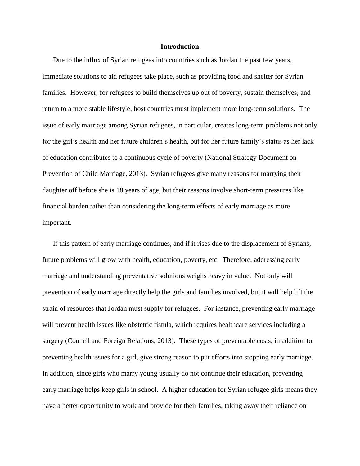#### **Introduction**

Due to the influx of Syrian refugees into countries such as Jordan the past few years, immediate solutions to aid refugees take place, such as providing food and shelter for Syrian families. However, for refugees to build themselves up out of poverty, sustain themselves, and return to a more stable lifestyle, host countries must implement more long-term solutions. The issue of early marriage among Syrian refugees, in particular, creates long-term problems not only for the girl's health and her future children's health, but for her future family's status as her lack of education contributes to a continuous cycle of poverty (National Strategy Document on Prevention of Child Marriage, 2013). Syrian refugees give many reasons for marrying their daughter off before she is 18 years of age, but their reasons involve short-term pressures like financial burden rather than considering the long-term effects of early marriage as more important.

If this pattern of early marriage continues, and if it rises due to the displacement of Syrians, future problems will grow with health, education, poverty, etc. Therefore, addressing early marriage and understanding preventative solutions weighs heavy in value. Not only will prevention of early marriage directly help the girls and families involved, but it will help lift the strain of resources that Jordan must supply for refugees. For instance, preventing early marriage will prevent health issues like obstetric fistula, which requires healthcare services including a surgery (Council and Foreign Relations, 2013). These types of preventable costs, in addition to preventing health issues for a girl, give strong reason to put efforts into stopping early marriage. In addition, since girls who marry young usually do not continue their education, preventing early marriage helps keep girls in school. A higher education for Syrian refugee girls means they have a better opportunity to work and provide for their families, taking away their reliance on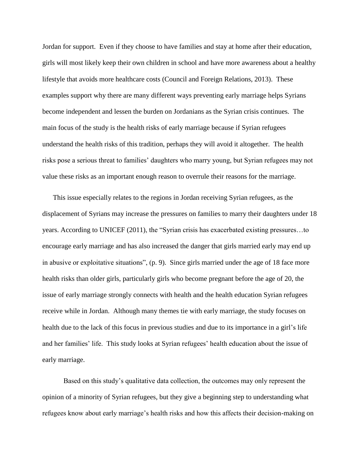Jordan for support. Even if they choose to have families and stay at home after their education, girls will most likely keep their own children in school and have more awareness about a healthy lifestyle that avoids more healthcare costs (Council and Foreign Relations, 2013). These examples support why there are many different ways preventing early marriage helps Syrians become independent and lessen the burden on Jordanians as the Syrian crisis continues. The main focus of the study is the health risks of early marriage because if Syrian refugees understand the health risks of this tradition, perhaps they will avoid it altogether. The health risks pose a serious threat to families' daughters who marry young, but Syrian refugees may not value these risks as an important enough reason to overrule their reasons for the marriage.

This issue especially relates to the regions in Jordan receiving Syrian refugees, as the displacement of Syrians may increase the pressures on families to marry their daughters under 18 years. According to UNICEF (2011), the "Syrian crisis has exacerbated existing pressures…to encourage early marriage and has also increased the danger that girls married early may end up in abusive or exploitative situations", (p. 9). Since girls married under the age of 18 face more health risks than older girls, particularly girls who become pregnant before the age of 20, the issue of early marriage strongly connects with health and the health education Syrian refugees receive while in Jordan. Although many themes tie with early marriage, the study focuses on health due to the lack of this focus in previous studies and due to its importance in a girl's life and her families' life. This study looks at Syrian refugees' health education about the issue of early marriage.

Based on this study's qualitative data collection, the outcomes may only represent the opinion of a minority of Syrian refugees, but they give a beginning step to understanding what refugees know about early marriage's health risks and how this affects their decision-making on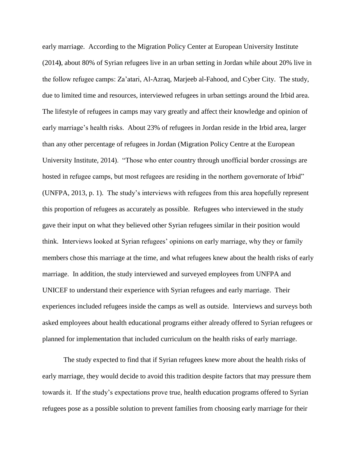early marriage. According to the Migration Policy Center at European University Institute (2014**)**, about 80% of Syrian refugees live in an urban setting in Jordan while about 20% live in the follow refugee camps: Za'atari, Al-Azraq, Marjeeb al-Fahood, and Cyber City. The study, due to limited time and resources, interviewed refugees in urban settings around the Irbid area. The lifestyle of refugees in camps may vary greatly and affect their knowledge and opinion of early marriage's health risks. About 23% of refugees in Jordan reside in the Irbid area, larger than any other percentage of refugees in Jordan (Migration Policy Centre at the European University Institute, 2014). "Those who enter country through unofficial border crossings are hosted in refugee camps, but most refugees are residing in the northern governorate of Irbid" (UNFPA, 2013, p. 1). The study's interviews with refugees from this area hopefully represent this proportion of refugees as accurately as possible. Refugees who interviewed in the study gave their input on what they believed other Syrian refugees similar in their position would think. Interviews looked at Syrian refugees' opinions on early marriage, why they or family members chose this marriage at the time, and what refugees knew about the health risks of early marriage. In addition, the study interviewed and surveyed employees from UNFPA and UNICEF to understand their experience with Syrian refugees and early marriage. Their experiences included refugees inside the camps as well as outside. Interviews and surveys both asked employees about health educational programs either already offered to Syrian refugees or planned for implementation that included curriculum on the health risks of early marriage.

The study expected to find that if Syrian refugees knew more about the health risks of early marriage, they would decide to avoid this tradition despite factors that may pressure them towards it. If the study's expectations prove true, health education programs offered to Syrian refugees pose as a possible solution to prevent families from choosing early marriage for their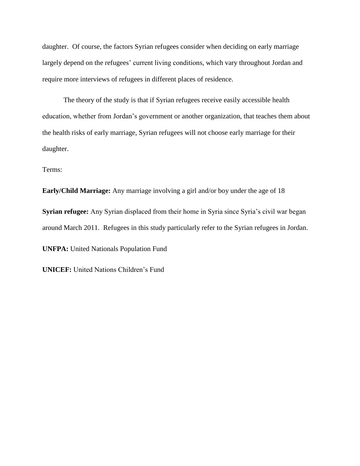daughter. Of course, the factors Syrian refugees consider when deciding on early marriage largely depend on the refugees' current living conditions, which vary throughout Jordan and require more interviews of refugees in different places of residence.

The theory of the study is that if Syrian refugees receive easily accessible health education, whether from Jordan's government or another organization, that teaches them about the health risks of early marriage, Syrian refugees will not choose early marriage for their daughter.

Terms:

**Early/Child Marriage:** Any marriage involving a girl and/or boy under the age of 18

**Syrian refugee:** Any Syrian displaced from their home in Syria since Syria's civil war began around March 2011. Refugees in this study particularly refer to the Syrian refugees in Jordan.

**UNFPA:** United Nationals Population Fund

**UNICEF:** United Nations Children's Fund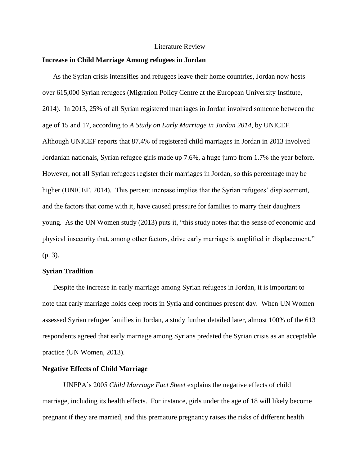#### Literature Review

#### **Increase in Child Marriage Among refugees in Jordan**

As the Syrian crisis intensifies and refugees leave their home countries, Jordan now hosts over 615,000 Syrian refugees (Migration Policy Centre at the European University Institute, 2014). In 2013, 25% of all Syrian registered marriages in Jordan involved someone between the age of 15 and 17, according to *A Study on Early Marriage in Jordan 2014*, by UNICEF. Although UNICEF reports that 87.4% of registered child marriages in Jordan in 2013 involved Jordanian nationals, Syrian refugee girls made up 7.6%, a huge jump from 1.7% the year before. However, not all Syrian refugees register their marriages in Jordan, so this percentage may be higher (UNICEF, 2014). This percent increase implies that the Syrian refugees' displacement, and the factors that come with it, have caused pressure for families to marry their daughters young. As the UN Women study (2013) puts it, "this study notes that the sense of economic and physical insecurity that, among other factors, drive early marriage is amplified in displacement." (p. 3).

#### **Syrian Tradition**

Despite the increase in early marriage among Syrian refugees in Jordan, it is important to note that early marriage holds deep roots in Syria and continues present day. When UN Women assessed Syrian refugee families in Jordan, a study further detailed later, almost 100% of the 613 respondents agreed that early marriage among Syrians predated the Syrian crisis as an acceptable practice (UN Women, 2013).

# **Negative Effects of Child Marriage**

UNFPA's 2005 *Child Marriage Fact Sheet* explains the negative effects of child marriage, including its health effects. For instance, girls under the age of 18 will likely become pregnant if they are married, and this premature pregnancy raises the risks of different health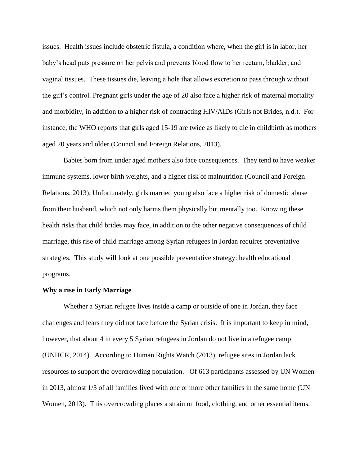issues. Health issues include obstetric fistula, a condition where, when the girl is in labor, her baby's head puts pressure on her pelvis and prevents blood flow to her rectum, bladder, and vaginal tissues. These tissues die, leaving a hole that allows excretion to pass through without the girl's control. Pregnant girls under the age of 20 also face a higher risk of maternal mortality and morbidity, in addition to a higher risk of contracting HIV/AIDs (Girls not Brides, n.d.). For instance, the WHO reports that girls aged 15-19 are twice as likely to die in childbirth as mothers aged 20 years and older (Council and Foreign Relations, 2013).

Babies born from under aged mothers also face consequences. They tend to have weaker immune systems, lower birth weights, and a higher risk of malnutrition (Council and Foreign Relations, 2013). Unfortunately, girls married young also face a higher risk of domestic abuse from their husband, which not only harms them physically but mentally too. Knowing these health risks that child brides may face, in addition to the other negative consequences of child marriage, this rise of child marriage among Syrian refugees in Jordan requires preventative strategies. This study will look at one possible preventative strategy: health educational programs.

#### **Why a rise in Early Marriage**

Whether a Syrian refugee lives inside a camp or outside of one in Jordan, they face challenges and fears they did not face before the Syrian crisis. It is important to keep in mind, however, that about 4 in every 5 Syrian refugees in Jordan do not live in a refugee camp (UNHCR, 2014). According to Human Rights Watch (2013), refugee sites in Jordan lack resources to support the overcrowding population. Of 613 participants assessed by UN Women in 2013, almost 1/3 of all families lived with one or more other families in the same home (UN Women, 2013). This overcrowding places a strain on food, clothing, and other essential items.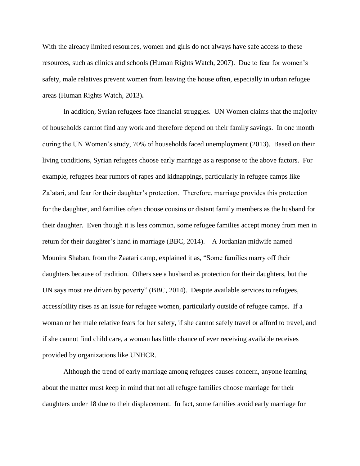With the already limited resources, women and girls do not always have safe access to these resources, such as clinics and schools (Human Rights Watch, 2007). Due to fear for women's safety, male relatives prevent women from leaving the house often, especially in urban refugee areas (Human Rights Watch, 2013)**.**

In addition, Syrian refugees face financial struggles. UN Women claims that the majority of households cannot find any work and therefore depend on their family savings. In one month during the UN Women's study, 70% of households faced unemployment (2013). Based on their living conditions, Syrian refugees choose early marriage as a response to the above factors. For example, refugees hear rumors of rapes and kidnappings, particularly in refugee camps like Za'atari, and fear for their daughter's protection. Therefore, marriage provides this protection for the daughter, and families often choose cousins or distant family members as the husband for their daughter. Even though it is less common, some refugee families accept money from men in return for their daughter's hand in marriage (BBC, 2014). A Jordanian midwife named Mounira Shaban, from the Zaatari camp, explained it as, "Some families marry off their daughters because of tradition. Others see a husband as protection for their daughters, but the UN says most are driven by poverty" (BBC, 2014). Despite available services to refugees, accessibility rises as an issue for refugee women, particularly outside of refugee camps. If a woman or her male relative fears for her safety, if she cannot safely travel or afford to travel, and if she cannot find child care, a woman has little chance of ever receiving available receives provided by organizations like UNHCR.

Although the trend of early marriage among refugees causes concern, anyone learning about the matter must keep in mind that not all refugee families choose marriage for their daughters under 18 due to their displacement. In fact, some families avoid early marriage for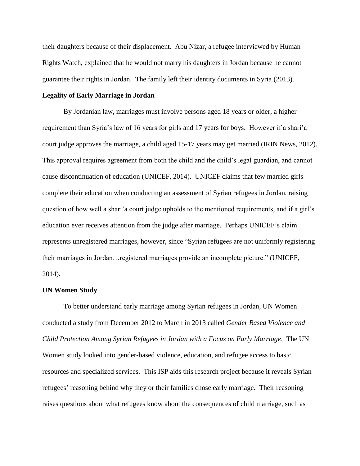their daughters because of their displacement. Abu Nizar, a refugee interviewed by Human Rights Watch, explained that he would not marry his daughters in Jordan because he cannot guarantee their rights in Jordan. The family left their identity documents in Syria (2013).

#### **Legality of Early Marriage in Jordan**

By Jordanian law, marriages must involve persons aged 18 years or older, a higher requirement than Syria's law of 16 years for girls and 17 years for boys. However if a shari'a court judge approves the marriage, a child aged 15-17 years may get married (IRIN News, 2012). This approval requires agreement from both the child and the child's legal guardian, and cannot cause discontinuation of education (UNICEF, 2014). UNICEF claims that few married girls complete their education when conducting an assessment of Syrian refugees in Jordan, raising question of how well a shari'a court judge upholds to the mentioned requirements, and if a girl's education ever receives attention from the judge after marriage. Perhaps UNICEF's claim represents unregistered marriages, however, since "Syrian refugees are not uniformly registering their marriages in Jordan…registered marriages provide an incomplete picture." (UNICEF, 2014)**.**

#### **UN Women Study**

To better understand early marriage among Syrian refugees in Jordan, UN Women conducted a study from December 2012 to March in 2013 called *Gender Based Violence and Child Protection Among Syrian Refugees in Jordan with a Focus on Early Marriage*. The UN Women study looked into gender-based violence, education, and refugee access to basic resources and specialized services. This ISP aids this research project because it reveals Syrian refugees' reasoning behind why they or their families chose early marriage. Their reasoning raises questions about what refugees know about the consequences of child marriage, such as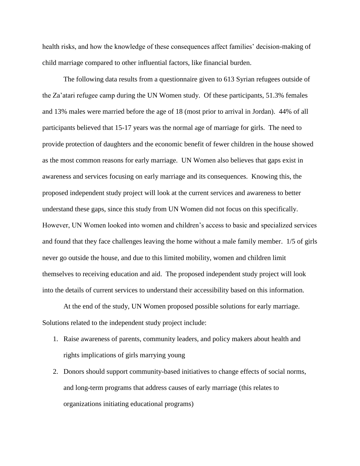health risks, and how the knowledge of these consequences affect families' decision-making of child marriage compared to other influential factors, like financial burden.

The following data results from a questionnaire given to 613 Syrian refugees outside of the Za'atari refugee camp during the UN Women study. Of these participants, 51.3% females and 13% males were married before the age of 18 (most prior to arrival in Jordan). 44% of all participants believed that 15-17 years was the normal age of marriage for girls. The need to provide protection of daughters and the economic benefit of fewer children in the house showed as the most common reasons for early marriage. UN Women also believes that gaps exist in awareness and services focusing on early marriage and its consequences. Knowing this, the proposed independent study project will look at the current services and awareness to better understand these gaps, since this study from UN Women did not focus on this specifically. However, UN Women looked into women and children's access to basic and specialized services and found that they face challenges leaving the home without a male family member. 1/5 of girls never go outside the house, and due to this limited mobility, women and children limit themselves to receiving education and aid. The proposed independent study project will look into the details of current services to understand their accessibility based on this information.

At the end of the study, UN Women proposed possible solutions for early marriage. Solutions related to the independent study project include:

- 1. Raise awareness of parents, community leaders, and policy makers about health and rights implications of girls marrying young
- 2. Donors should support community-based initiatives to change effects of social norms, and long-term programs that address causes of early marriage (this relates to organizations initiating educational programs)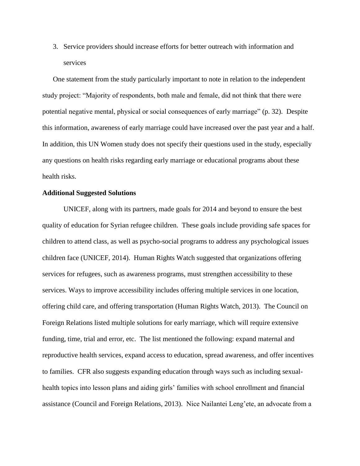3. Service providers should increase efforts for better outreach with information and services

One statement from the study particularly important to note in relation to the independent study project: "Majority of respondents, both male and female, did not think that there were potential negative mental, physical or social consequences of early marriage" (p. 32). Despite this information, awareness of early marriage could have increased over the past year and a half. In addition, this UN Women study does not specify their questions used in the study, especially any questions on health risks regarding early marriage or educational programs about these health risks.

#### **Additional Suggested Solutions**

UNICEF, along with its partners, made goals for 2014 and beyond to ensure the best quality of education for Syrian refugee children. These goals include providing safe spaces for children to attend class, as well as psycho-social programs to address any psychological issues children face (UNICEF, 2014). Human Rights Watch suggested that organizations offering services for refugees, such as awareness programs, must strengthen accessibility to these services. Ways to improve accessibility includes offering multiple services in one location, offering child care, and offering transportation (Human Rights Watch, 2013). The Council on Foreign Relations listed multiple solutions for early marriage, which will require extensive funding, time, trial and error, etc. The list mentioned the following: expand maternal and reproductive health services, expand access to education, spread awareness, and offer incentives to families. CFR also suggests expanding education through ways such as including sexualhealth topics into lesson plans and aiding girls' families with school enrollment and financial assistance (Council and Foreign Relations, 2013). Nice Nailantei Leng'ete, an advocate from a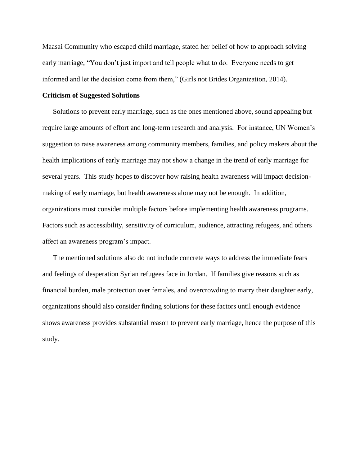Maasai Community who escaped child marriage, stated her belief of how to approach solving early marriage, "You don't just import and tell people what to do. Everyone needs to get informed and let the decision come from them," (Girls not Brides Organization, 2014).

#### **Criticism of Suggested Solutions**

Solutions to prevent early marriage, such as the ones mentioned above, sound appealing but require large amounts of effort and long-term research and analysis. For instance, UN Women's suggestion to raise awareness among community members, families, and policy makers about the health implications of early marriage may not show a change in the trend of early marriage for several years. This study hopes to discover how raising health awareness will impact decisionmaking of early marriage, but health awareness alone may not be enough. In addition, organizations must consider multiple factors before implementing health awareness programs. Factors such as accessibility, sensitivity of curriculum, audience, attracting refugees, and others affect an awareness program's impact.

The mentioned solutions also do not include concrete ways to address the immediate fears and feelings of desperation Syrian refugees face in Jordan. If families give reasons such as financial burden, male protection over females, and overcrowding to marry their daughter early, organizations should also consider finding solutions for these factors until enough evidence shows awareness provides substantial reason to prevent early marriage, hence the purpose of this study.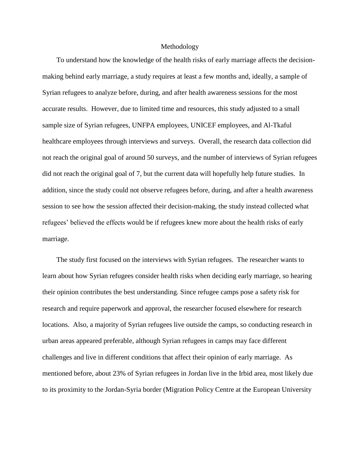#### Methodology

To understand how the knowledge of the health risks of early marriage affects the decisionmaking behind early marriage, a study requires at least a few months and, ideally, a sample of Syrian refugees to analyze before, during, and after health awareness sessions for the most accurate results. However, due to limited time and resources, this study adjusted to a small sample size of Syrian refugees, UNFPA employees, UNICEF employees, and Al-Tkaful healthcare employees through interviews and surveys. Overall, the research data collection did not reach the original goal of around 50 surveys, and the number of interviews of Syrian refugees did not reach the original goal of 7, but the current data will hopefully help future studies. In addition, since the study could not observe refugees before, during, and after a health awareness session to see how the session affected their decision-making, the study instead collected what refugees' believed the effects would be if refugees knew more about the health risks of early marriage.

The study first focused on the interviews with Syrian refugees. The researcher wants to learn about how Syrian refugees consider health risks when deciding early marriage, so hearing their opinion contributes the best understanding. Since refugee camps pose a safety risk for research and require paperwork and approval, the researcher focused elsewhere for research locations. Also, a majority of Syrian refugees live outside the camps, so conducting research in urban areas appeared preferable, although Syrian refugees in camps may face different challenges and live in different conditions that affect their opinion of early marriage. As mentioned before, about 23% of Syrian refugees in Jordan live in the Irbid area, most likely due to its proximity to the Jordan-Syria border (Migration Policy Centre at the European University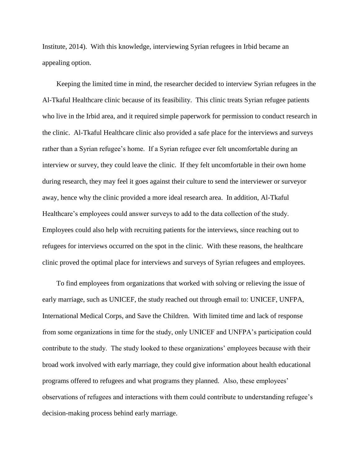Institute, 2014). With this knowledge, interviewing Syrian refugees in Irbid became an appealing option.

Keeping the limited time in mind, the researcher decided to interview Syrian refugees in the Al-Tkaful Healthcare clinic because of its feasibility. This clinic treats Syrian refugee patients who live in the Irbid area, and it required simple paperwork for permission to conduct research in the clinic. Al-Tkaful Healthcare clinic also provided a safe place for the interviews and surveys rather than a Syrian refugee's home. If a Syrian refugee ever felt uncomfortable during an interview or survey, they could leave the clinic. If they felt uncomfortable in their own home during research, they may feel it goes against their culture to send the interviewer or surveyor away, hence why the clinic provided a more ideal research area. In addition, Al-Tkaful Healthcare's employees could answer surveys to add to the data collection of the study. Employees could also help with recruiting patients for the interviews, since reaching out to refugees for interviews occurred on the spot in the clinic. With these reasons, the healthcare clinic proved the optimal place for interviews and surveys of Syrian refugees and employees.

To find employees from organizations that worked with solving or relieving the issue of early marriage, such as UNICEF, the study reached out through email to: UNICEF, UNFPA, International Medical Corps, and Save the Children. With limited time and lack of response from some organizations in time for the study, only UNICEF and UNFPA's participation could contribute to the study. The study looked to these organizations' employees because with their broad work involved with early marriage, they could give information about health educational programs offered to refugees and what programs they planned. Also, these employees' observations of refugees and interactions with them could contribute to understanding refugee's decision-making process behind early marriage.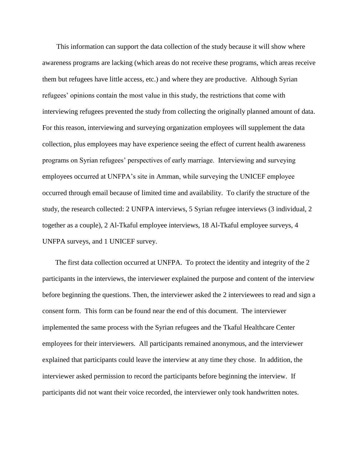This information can support the data collection of the study because it will show where awareness programs are lacking (which areas do not receive these programs, which areas receive them but refugees have little access, etc.) and where they are productive. Although Syrian refugees' opinions contain the most value in this study, the restrictions that come with interviewing refugees prevented the study from collecting the originally planned amount of data. For this reason, interviewing and surveying organization employees will supplement the data collection, plus employees may have experience seeing the effect of current health awareness programs on Syrian refugees' perspectives of early marriage. Interviewing and surveying employees occurred at UNFPA's site in Amman, while surveying the UNICEF employee occurred through email because of limited time and availability. To clarify the structure of the study, the research collected: 2 UNFPA interviews, 5 Syrian refugee interviews (3 individual, 2 together as a couple), 2 Al-Tkaful employee interviews, 18 Al-Tkaful employee surveys, 4 UNFPA surveys, and 1 UNICEF survey.

The first data collection occurred at UNFPA. To protect the identity and integrity of the 2 participants in the interviews, the interviewer explained the purpose and content of the interview before beginning the questions. Then, the interviewer asked the 2 interviewees to read and sign a consent form. This form can be found near the end of this document. The interviewer implemented the same process with the Syrian refugees and the Tkaful Healthcare Center employees for their interviewers. All participants remained anonymous, and the interviewer explained that participants could leave the interview at any time they chose. In addition, the interviewer asked permission to record the participants before beginning the interview. If participants did not want their voice recorded, the interviewer only took handwritten notes.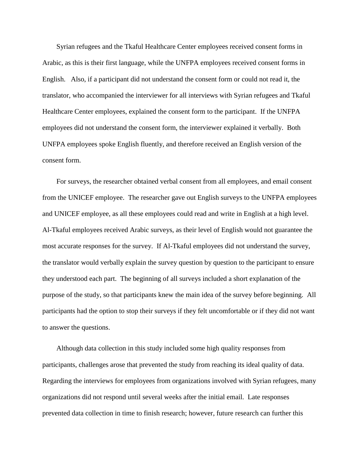Syrian refugees and the Tkaful Healthcare Center employees received consent forms in Arabic, as this is their first language, while the UNFPA employees received consent forms in English. Also, if a participant did not understand the consent form or could not read it, the translator, who accompanied the interviewer for all interviews with Syrian refugees and Tkaful Healthcare Center employees, explained the consent form to the participant. If the UNFPA employees did not understand the consent form, the interviewer explained it verbally. Both UNFPA employees spoke English fluently, and therefore received an English version of the consent form.

For surveys, the researcher obtained verbal consent from all employees, and email consent from the UNICEF employee. The researcher gave out English surveys to the UNFPA employees and UNICEF employee, as all these employees could read and write in English at a high level. Al-Tkaful employees received Arabic surveys, as their level of English would not guarantee the most accurate responses for the survey. If Al-Tkaful employees did not understand the survey, the translator would verbally explain the survey question by question to the participant to ensure they understood each part. The beginning of all surveys included a short explanation of the purpose of the study, so that participants knew the main idea of the survey before beginning. All participants had the option to stop their surveys if they felt uncomfortable or if they did not want to answer the questions.

Although data collection in this study included some high quality responses from participants, challenges arose that prevented the study from reaching its ideal quality of data. Regarding the interviews for employees from organizations involved with Syrian refugees, many organizations did not respond until several weeks after the initial email. Late responses prevented data collection in time to finish research; however, future research can further this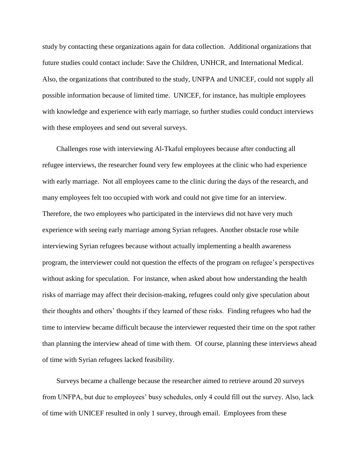study by contacting these organizations again for data collection. Additional organizations that future studies could contact include: Save the Children, UNHCR, and International Medical. Also, the organizations that contributed to the study, UNFPA and UNICEF, could not supply all possible information because of limited time. UNICEF, for instance, has multiple employees with knowledge and experience with early marriage, so further studies could conduct interviews with these employees and send out several surveys.

Challenges rose with interviewing Al-Tkaful employees because after conducting all refugee interviews, the researcher found very few employees at the clinic who had experience with early marriage. Not all employees came to the clinic during the days of the research, and many employees felt too occupied with work and could not give time for an interview. Therefore, the two employees who participated in the interviews did not have very much experience with seeing early marriage among Syrian refugees. Another obstacle rose while interviewing Syrian refugees because without actually implementing a health awareness program, the interviewer could not question the effects of the program on refugee's perspectives without asking for speculation. For instance, when asked about how understanding the health risks of marriage may affect their decision-making, refugees could only give speculation about their thoughts and others' thoughts if they learned of these risks. Finding refugees who had the time to interview became difficult because the interviewer requested their time on the spot rather than planning the interview ahead of time with them. Of course, planning these interviews ahead of time with Syrian refugees lacked feasibility.

Surveys became a challenge because the researcher aimed to retrieve around 20 surveys from UNFPA, but due to employees' busy schedules, only 4 could fill out the survey. Also, lack of time with UNICEF resulted in only 1 survey, through email. Employees from these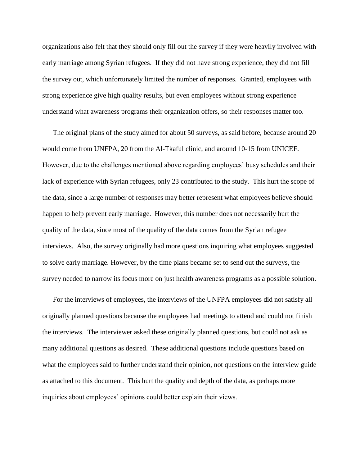organizations also felt that they should only fill out the survey if they were heavily involved with early marriage among Syrian refugees. If they did not have strong experience, they did not fill the survey out, which unfortunately limited the number of responses. Granted, employees with strong experience give high quality results, but even employees without strong experience understand what awareness programs their organization offers, so their responses matter too.

The original plans of the study aimed for about 50 surveys, as said before, because around 20 would come from UNFPA, 20 from the Al-Tkaful clinic, and around 10-15 from UNICEF. However, due to the challenges mentioned above regarding employees' busy schedules and their lack of experience with Syrian refugees, only 23 contributed to the study. This hurt the scope of the data, since a large number of responses may better represent what employees believe should happen to help prevent early marriage. However, this number does not necessarily hurt the quality of the data, since most of the quality of the data comes from the Syrian refugee interviews. Also, the survey originally had more questions inquiring what employees suggested to solve early marriage. However, by the time plans became set to send out the surveys, the survey needed to narrow its focus more on just health awareness programs as a possible solution.

For the interviews of employees, the interviews of the UNFPA employees did not satisfy all originally planned questions because the employees had meetings to attend and could not finish the interviews. The interviewer asked these originally planned questions, but could not ask as many additional questions as desired. These additional questions include questions based on what the employees said to further understand their opinion, not questions on the interview guide as attached to this document. This hurt the quality and depth of the data, as perhaps more inquiries about employees' opinions could better explain their views.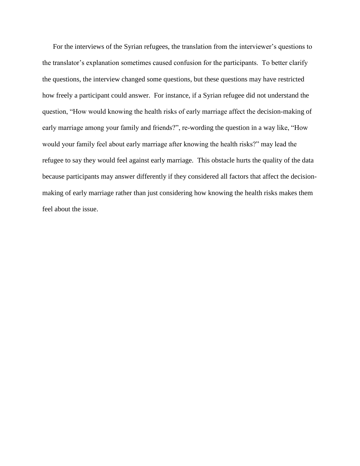For the interviews of the Syrian refugees, the translation from the interviewer's questions to the translator's explanation sometimes caused confusion for the participants. To better clarify the questions, the interview changed some questions, but these questions may have restricted how freely a participant could answer. For instance, if a Syrian refugee did not understand the question, "How would knowing the health risks of early marriage affect the decision-making of early marriage among your family and friends?", re-wording the question in a way like, "How would your family feel about early marriage after knowing the health risks?" may lead the refugee to say they would feel against early marriage. This obstacle hurts the quality of the data because participants may answer differently if they considered all factors that affect the decisionmaking of early marriage rather than just considering how knowing the health risks makes them feel about the issue.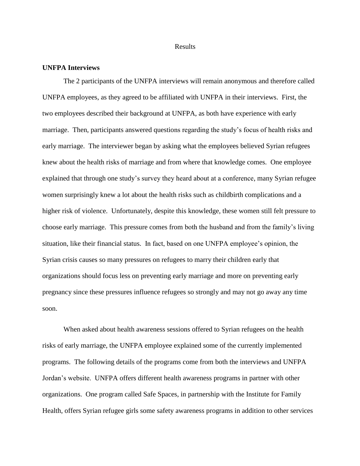#### Results

#### **UNFPA Interviews**

The 2 participants of the UNFPA interviews will remain anonymous and therefore called UNFPA employees, as they agreed to be affiliated with UNFPA in their interviews. First, the two employees described their background at UNFPA, as both have experience with early marriage. Then, participants answered questions regarding the study's focus of health risks and early marriage. The interviewer began by asking what the employees believed Syrian refugees knew about the health risks of marriage and from where that knowledge comes. One employee explained that through one study's survey they heard about at a conference, many Syrian refugee women surprisingly knew a lot about the health risks such as childbirth complications and a higher risk of violence. Unfortunately, despite this knowledge, these women still felt pressure to choose early marriage. This pressure comes from both the husband and from the family's living situation, like their financial status. In fact, based on one UNFPA employee's opinion, the Syrian crisis causes so many pressures on refugees to marry their children early that organizations should focus less on preventing early marriage and more on preventing early pregnancy since these pressures influence refugees so strongly and may not go away any time soon.

When asked about health awareness sessions offered to Syrian refugees on the health risks of early marriage, the UNFPA employee explained some of the currently implemented programs. The following details of the programs come from both the interviews and UNFPA Jordan's website. UNFPA offers different health awareness programs in partner with other organizations. One program called Safe Spaces, in partnership with the Institute for Family Health, offers Syrian refugee girls some safety awareness programs in addition to other services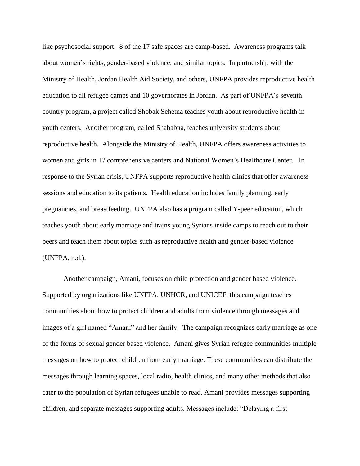like psychosocial support. 8 of the 17 safe spaces are camp-based. Awareness programs talk about women's rights, gender-based violence, and similar topics. In partnership with the Ministry of Health, Jordan Health Aid Society, and others, UNFPA provides reproductive health education to all refugee camps and 10 governorates in Jordan. As part of UNFPA's seventh country program, a project called Shobak Sehetna teaches youth about reproductive health in youth centers. Another program, called Shababna, teaches university students about reproductive health. Alongside the Ministry of Health, UNFPA offers awareness activities to women and girls in 17 comprehensive centers and National Women's Healthcare Center. In response to the Syrian crisis, UNFPA supports reproductive health clinics that offer awareness sessions and education to its patients. Health education includes family planning, early pregnancies, and breastfeeding. UNFPA also has a program called Y-peer education, which teaches youth about early marriage and trains young Syrians inside camps to reach out to their peers and teach them about topics such as reproductive health and gender-based violence (UNFPA, n.d.).

Another campaign, Amani, focuses on child protection and gender based violence. Supported by organizations like UNFPA, UNHCR, and UNICEF, this campaign teaches communities about how to protect children and adults from violence through messages and images of a girl named "Amani" and her family. The campaign recognizes early marriage as one of the forms of sexual gender based violence. Amani gives Syrian refugee communities multiple messages on how to protect children from early marriage. These communities can distribute the messages through learning spaces, local radio, health clinics, and many other methods that also cater to the population of Syrian refugees unable to read. Amani provides messages supporting children, and separate messages supporting adults. Messages include: "Delaying a first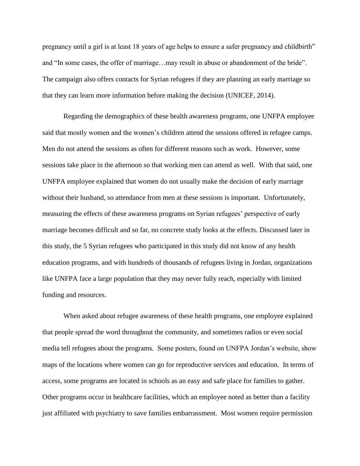pregnancy until a girl is at least 18 years of age helps to ensure a safer pregnancy and childbirth" and "In some cases, the offer of marriage…may result in abuse or abandonment of the bride". The campaign also offers contacts for Syrian refugees if they are planning an early marriage so that they can learn more information before making the decision (UNICEF, 2014).

Regarding the demographics of these health awareness programs, one UNFPA employee said that mostly women and the women's children attend the sessions offered in refugee camps. Men do not attend the sessions as often for different reasons such as work. However, some sessions take place in the afternoon so that working men can attend as well. With that said, one UNFPA employee explained that women do not usually make the decision of early marriage without their husband, so attendance from men at these sessions is important. Unfortunately, measuring the effects of these awareness programs on Syrian refugees' perspective of early marriage becomes difficult and so far, no concrete study looks at the effects. Discussed later in this study, the 5 Syrian refugees who participated in this study did not know of any health education programs, and with hundreds of thousands of refugees living in Jordan, organizations like UNFPA face a large population that they may never fully reach, especially with limited funding and resources.

When asked about refugee awareness of these health programs, one employee explained that people spread the word throughout the community, and sometimes radios or even social media tell refugees about the programs. Some posters, found on UNFPA Jordan's website, show maps of the locations where women can go for reproductive services and education. In terms of access, some programs are located in schools as an easy and safe place for families to gather. Other programs occur in healthcare facilities, which an employee noted as better than a facility just affiliated with psychiatry to save families embarrassment. Most women require permission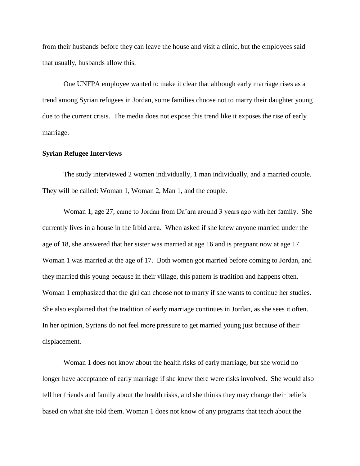from their husbands before they can leave the house and visit a clinic, but the employees said that usually, husbands allow this.

One UNFPA employee wanted to make it clear that although early marriage rises as a trend among Syrian refugees in Jordan, some families choose not to marry their daughter young due to the current crisis. The media does not expose this trend like it exposes the rise of early marriage.

#### **Syrian Refugee Interviews**

The study interviewed 2 women individually, 1 man individually, and a married couple. They will be called: Woman 1, Woman 2, Man 1, and the couple.

Woman 1, age 27, came to Jordan from Da'ara around 3 years ago with her family. She currently lives in a house in the Irbid area. When asked if she knew anyone married under the age of 18, she answered that her sister was married at age 16 and is pregnant now at age 17. Woman 1 was married at the age of 17. Both women got married before coming to Jordan, and they married this young because in their village, this pattern is tradition and happens often. Woman 1 emphasized that the girl can choose not to marry if she wants to continue her studies. She also explained that the tradition of early marriage continues in Jordan, as she sees it often. In her opinion, Syrians do not feel more pressure to get married young just because of their displacement.

Woman 1 does not know about the health risks of early marriage, but she would no longer have acceptance of early marriage if she knew there were risks involved. She would also tell her friends and family about the health risks, and she thinks they may change their beliefs based on what she told them. Woman 1 does not know of any programs that teach about the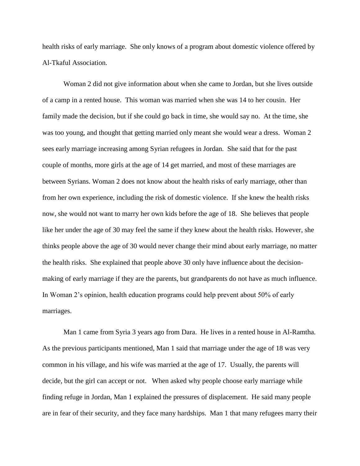health risks of early marriage. She only knows of a program about domestic violence offered by Al-Tkaful Association.

Woman 2 did not give information about when she came to Jordan, but she lives outside of a camp in a rented house. This woman was married when she was 14 to her cousin. Her family made the decision, but if she could go back in time, she would say no. At the time, she was too young, and thought that getting married only meant she would wear a dress. Woman 2 sees early marriage increasing among Syrian refugees in Jordan. She said that for the past couple of months, more girls at the age of 14 get married, and most of these marriages are between Syrians. Woman 2 does not know about the health risks of early marriage, other than from her own experience, including the risk of domestic violence. If she knew the health risks now, she would not want to marry her own kids before the age of 18. She believes that people like her under the age of 30 may feel the same if they knew about the health risks. However, she thinks people above the age of 30 would never change their mind about early marriage, no matter the health risks. She explained that people above 30 only have influence about the decisionmaking of early marriage if they are the parents, but grandparents do not have as much influence. In Woman 2's opinion, health education programs could help prevent about 50% of early marriages.

Man 1 came from Syria 3 years ago from Dara. He lives in a rented house in Al-Ramtha. As the previous participants mentioned, Man 1 said that marriage under the age of 18 was very common in his village, and his wife was married at the age of 17. Usually, the parents will decide, but the girl can accept or not. When asked why people choose early marriage while finding refuge in Jordan, Man 1 explained the pressures of displacement. He said many people are in fear of their security, and they face many hardships. Man 1 that many refugees marry their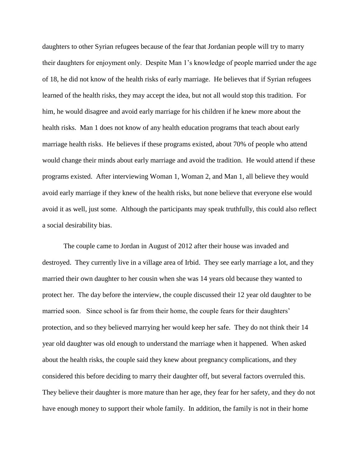daughters to other Syrian refugees because of the fear that Jordanian people will try to marry their daughters for enjoyment only. Despite Man 1's knowledge of people married under the age of 18, he did not know of the health risks of early marriage. He believes that if Syrian refugees learned of the health risks, they may accept the idea, but not all would stop this tradition. For him, he would disagree and avoid early marriage for his children if he knew more about the health risks. Man 1 does not know of any health education programs that teach about early marriage health risks. He believes if these programs existed, about 70% of people who attend would change their minds about early marriage and avoid the tradition. He would attend if these programs existed. After interviewing Woman 1, Woman 2, and Man 1, all believe they would avoid early marriage if they knew of the health risks, but none believe that everyone else would avoid it as well, just some. Although the participants may speak truthfully, this could also reflect a social desirability bias.

The couple came to Jordan in August of 2012 after their house was invaded and destroyed. They currently live in a village area of Irbid. They see early marriage a lot, and they married their own daughter to her cousin when she was 14 years old because they wanted to protect her. The day before the interview, the couple discussed their 12 year old daughter to be married soon. Since school is far from their home, the couple fears for their daughters' protection, and so they believed marrying her would keep her safe. They do not think their 14 year old daughter was old enough to understand the marriage when it happened. When asked about the health risks, the couple said they knew about pregnancy complications, and they considered this before deciding to marry their daughter off, but several factors overruled this. They believe their daughter is more mature than her age, they fear for her safety, and they do not have enough money to support their whole family. In addition, the family is not in their home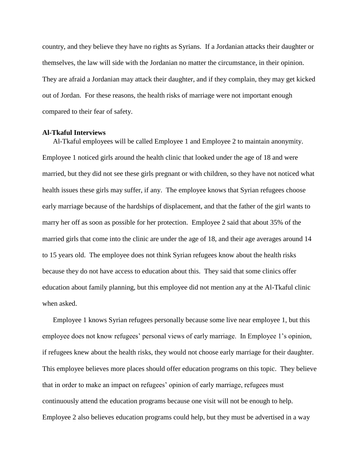country, and they believe they have no rights as Syrians. If a Jordanian attacks their daughter or themselves, the law will side with the Jordanian no matter the circumstance, in their opinion. They are afraid a Jordanian may attack their daughter, and if they complain, they may get kicked out of Jordan. For these reasons, the health risks of marriage were not important enough compared to their fear of safety.

#### **Al-Tkaful Interviews**

Al-Tkaful employees will be called Employee 1 and Employee 2 to maintain anonymity. Employee 1 noticed girls around the health clinic that looked under the age of 18 and were married, but they did not see these girls pregnant or with children, so they have not noticed what health issues these girls may suffer, if any. The employee knows that Syrian refugees choose early marriage because of the hardships of displacement, and that the father of the girl wants to marry her off as soon as possible for her protection. Employee 2 said that about 35% of the married girls that come into the clinic are under the age of 18, and their age averages around 14 to 15 years old. The employee does not think Syrian refugees know about the health risks because they do not have access to education about this. They said that some clinics offer education about family planning, but this employee did not mention any at the Al-Tkaful clinic when asked.

Employee 1 knows Syrian refugees personally because some live near employee 1, but this employee does not know refugees' personal views of early marriage. In Employee 1's opinion, if refugees knew about the health risks, they would not choose early marriage for their daughter. This employee believes more places should offer education programs on this topic. They believe that in order to make an impact on refugees' opinion of early marriage, refugees must continuously attend the education programs because one visit will not be enough to help. Employee 2 also believes education programs could help, but they must be advertised in a way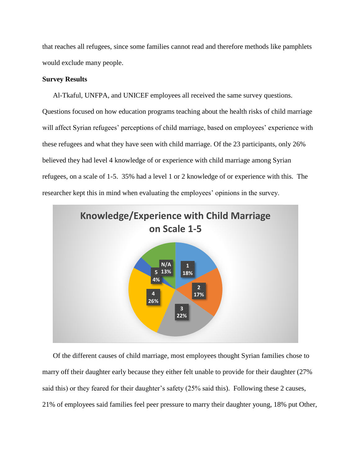that reaches all refugees, since some families cannot read and therefore methods like pamphlets would exclude many people.

#### **Survey Results**

Al-Tkaful, UNFPA, and UNICEF employees all received the same survey questions. Questions focused on how education programs teaching about the health risks of child marriage will affect Syrian refugees' perceptions of child marriage, based on employees' experience with these refugees and what they have seen with child marriage. Of the 23 participants, only 26% believed they had level 4 knowledge of or experience with child marriage among Syrian refugees, on a scale of 1-5. 35% had a level 1 or 2 knowledge of or experience with this. The researcher kept this in mind when evaluating the employees' opinions in the survey.



Of the different causes of child marriage, most employees thought Syrian families chose to marry off their daughter early because they either felt unable to provide for their daughter (27% said this) or they feared for their daughter's safety (25% said this). Following these 2 causes, 21% of employees said families feel peer pressure to marry their daughter young, 18% put Other,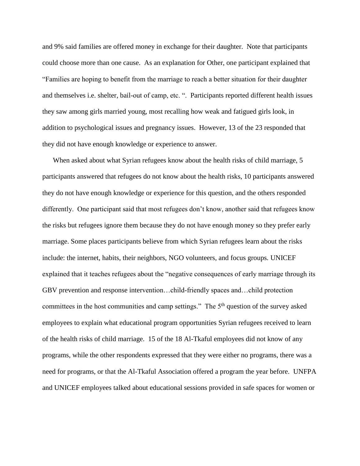and 9% said families are offered money in exchange for their daughter. Note that participants could choose more than one cause. As an explanation for Other, one participant explained that "Families are hoping to benefit from the marriage to reach a better situation for their daughter and themselves i.e. shelter, bail-out of camp, etc. ". Participants reported different health issues they saw among girls married young, most recalling how weak and fatigued girls look, in addition to psychological issues and pregnancy issues. However, 13 of the 23 responded that they did not have enough knowledge or experience to answer.

When asked about what Syrian refugees know about the health risks of child marriage, 5 participants answered that refugees do not know about the health risks, 10 participants answered they do not have enough knowledge or experience for this question, and the others responded differently. One participant said that most refugees don't know, another said that refugees know the risks but refugees ignore them because they do not have enough money so they prefer early marriage. Some places participants believe from which Syrian refugees learn about the risks include: the internet, habits, their neighbors, NGO volunteers, and focus groups. UNICEF explained that it teaches refugees about the "negative consequences of early marriage through its GBV prevention and response intervention…child-friendly spaces and…child protection committees in the host communities and camp settings." The  $5<sup>th</sup>$  question of the survey asked employees to explain what educational program opportunities Syrian refugees received to learn of the health risks of child marriage. 15 of the 18 Al-Tkaful employees did not know of any programs, while the other respondents expressed that they were either no programs, there was a need for programs, or that the Al-Tkaful Association offered a program the year before. UNFPA and UNICEF employees talked about educational sessions provided in safe spaces for women or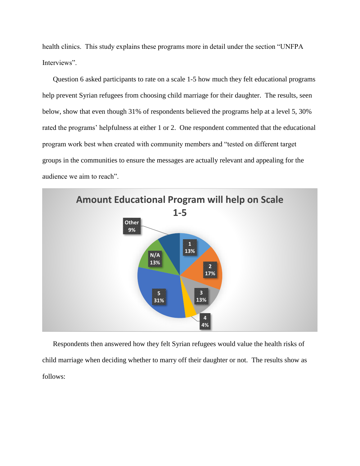health clinics. This study explains these programs more in detail under the section "UNFPA Interviews".

Question 6 asked participants to rate on a scale 1-5 how much they felt educational programs help prevent Syrian refugees from choosing child marriage for their daughter. The results, seen below, show that even though 31% of respondents believed the programs help at a level 5, 30% rated the programs' helpfulness at either 1 or 2. One respondent commented that the educational program work best when created with community members and "tested on different target groups in the communities to ensure the messages are actually relevant and appealing for the audience we aim to reach".



Respondents then answered how they felt Syrian refugees would value the health risks of child marriage when deciding whether to marry off their daughter or not. The results show as follows: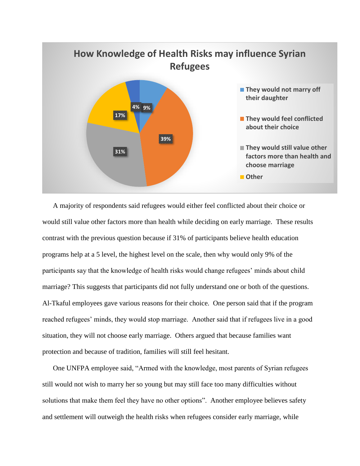

A majority of respondents said refugees would either feel conflicted about their choice or would still value other factors more than health while deciding on early marriage. These results contrast with the previous question because if 31% of participants believe health education programs help at a 5 level, the highest level on the scale, then why would only 9% of the participants say that the knowledge of health risks would change refugees' minds about child marriage? This suggests that participants did not fully understand one or both of the questions. Al-Tkaful employees gave various reasons for their choice. One person said that if the program reached refugees' minds, they would stop marriage. Another said that if refugees live in a good situation, they will not choose early marriage. Others argued that because families want protection and because of tradition, families will still feel hesitant.

One UNFPA employee said, "Armed with the knowledge, most parents of Syrian refugees still would not wish to marry her so young but may still face too many difficulties without solutions that make them feel they have no other options". Another employee believes safety and settlement will outweigh the health risks when refugees consider early marriage, while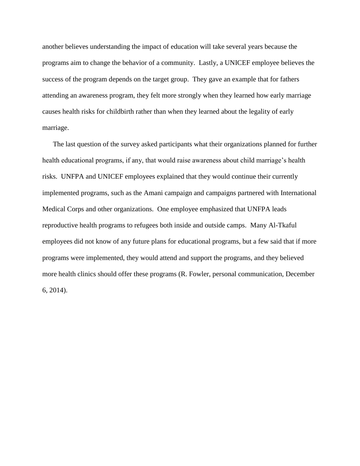another believes understanding the impact of education will take several years because the programs aim to change the behavior of a community. Lastly, a UNICEF employee believes the success of the program depends on the target group. They gave an example that for fathers attending an awareness program, they felt more strongly when they learned how early marriage causes health risks for childbirth rather than when they learned about the legality of early marriage.

The last question of the survey asked participants what their organizations planned for further health educational programs, if any, that would raise awareness about child marriage's health risks. UNFPA and UNICEF employees explained that they would continue their currently implemented programs, such as the Amani campaign and campaigns partnered with International Medical Corps and other organizations. One employee emphasized that UNFPA leads reproductive health programs to refugees both inside and outside camps. Many Al-Tkaful employees did not know of any future plans for educational programs, but a few said that if more programs were implemented, they would attend and support the programs, and they believed more health clinics should offer these programs (R. Fowler, personal communication, December 6, 2014).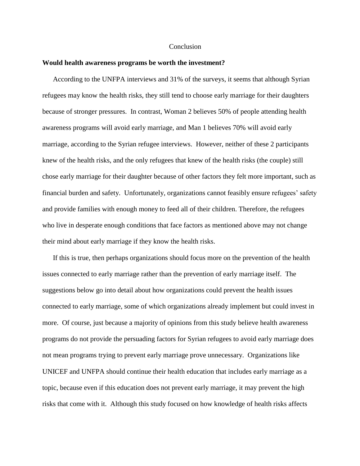#### Conclusion

#### **Would health awareness programs be worth the investment?**

According to the UNFPA interviews and 31% of the surveys, it seems that although Syrian refugees may know the health risks, they still tend to choose early marriage for their daughters because of stronger pressures. In contrast, Woman 2 believes 50% of people attending health awareness programs will avoid early marriage, and Man 1 believes 70% will avoid early marriage, according to the Syrian refugee interviews. However, neither of these 2 participants knew of the health risks, and the only refugees that knew of the health risks (the couple) still chose early marriage for their daughter because of other factors they felt more important, such as financial burden and safety. Unfortunately, organizations cannot feasibly ensure refugees' safety and provide families with enough money to feed all of their children. Therefore, the refugees who live in desperate enough conditions that face factors as mentioned above may not change their mind about early marriage if they know the health risks.

If this is true, then perhaps organizations should focus more on the prevention of the health issues connected to early marriage rather than the prevention of early marriage itself. The suggestions below go into detail about how organizations could prevent the health issues connected to early marriage, some of which organizations already implement but could invest in more. Of course, just because a majority of opinions from this study believe health awareness programs do not provide the persuading factors for Syrian refugees to avoid early marriage does not mean programs trying to prevent early marriage prove unnecessary. Organizations like UNICEF and UNFPA should continue their health education that includes early marriage as a topic, because even if this education does not prevent early marriage, it may prevent the high risks that come with it. Although this study focused on how knowledge of health risks affects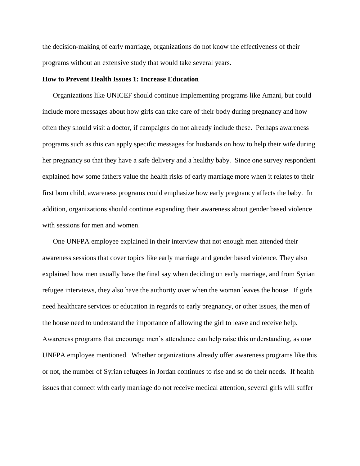the decision-making of early marriage, organizations do not know the effectiveness of their programs without an extensive study that would take several years.

#### **How to Prevent Health Issues 1: Increase Education**

Organizations like UNICEF should continue implementing programs like Amani, but could include more messages about how girls can take care of their body during pregnancy and how often they should visit a doctor, if campaigns do not already include these. Perhaps awareness programs such as this can apply specific messages for husbands on how to help their wife during her pregnancy so that they have a safe delivery and a healthy baby. Since one survey respondent explained how some fathers value the health risks of early marriage more when it relates to their first born child, awareness programs could emphasize how early pregnancy affects the baby. In addition, organizations should continue expanding their awareness about gender based violence with sessions for men and women.

One UNFPA employee explained in their interview that not enough men attended their awareness sessions that cover topics like early marriage and gender based violence. They also explained how men usually have the final say when deciding on early marriage, and from Syrian refugee interviews, they also have the authority over when the woman leaves the house. If girls need healthcare services or education in regards to early pregnancy, or other issues, the men of the house need to understand the importance of allowing the girl to leave and receive help. Awareness programs that encourage men's attendance can help raise this understanding, as one UNFPA employee mentioned. Whether organizations already offer awareness programs like this or not, the number of Syrian refugees in Jordan continues to rise and so do their needs. If health issues that connect with early marriage do not receive medical attention, several girls will suffer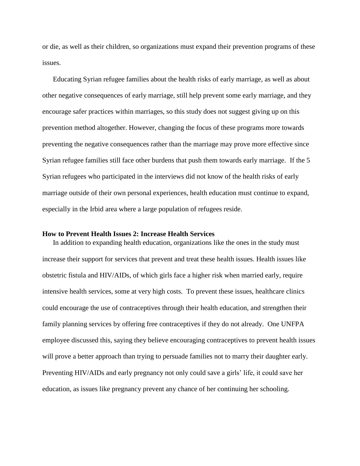or die, as well as their children, so organizations must expand their prevention programs of these issues.

Educating Syrian refugee families about the health risks of early marriage, as well as about other negative consequences of early marriage, still help prevent some early marriage, and they encourage safer practices within marriages, so this study does not suggest giving up on this prevention method altogether. However, changing the focus of these programs more towards preventing the negative consequences rather than the marriage may prove more effective since Syrian refugee families still face other burdens that push them towards early marriage. If the 5 Syrian refugees who participated in the interviews did not know of the health risks of early marriage outside of their own personal experiences, health education must continue to expand, especially in the Irbid area where a large population of refugees reside.

#### **How to Prevent Health Issues 2: Increase Health Services**

In addition to expanding health education, organizations like the ones in the study must increase their support for services that prevent and treat these health issues. Health issues like obstetric fistula and HIV/AIDs, of which girls face a higher risk when married early, require intensive health services, some at very high costs. To prevent these issues, healthcare clinics could encourage the use of contraceptives through their health education, and strengthen their family planning services by offering free contraceptives if they do not already. One UNFPA employee discussed this, saying they believe encouraging contraceptives to prevent health issues will prove a better approach than trying to persuade families not to marry their daughter early. Preventing HIV/AIDs and early pregnancy not only could save a girls' life, it could save her education, as issues like pregnancy prevent any chance of her continuing her schooling.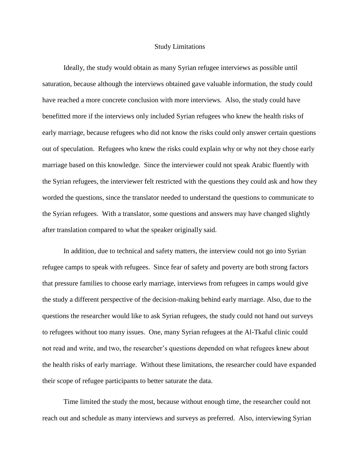#### Study Limitations

Ideally, the study would obtain as many Syrian refugee interviews as possible until saturation, because although the interviews obtained gave valuable information, the study could have reached a more concrete conclusion with more interviews. Also, the study could have benefitted more if the interviews only included Syrian refugees who knew the health risks of early marriage, because refugees who did not know the risks could only answer certain questions out of speculation. Refugees who knew the risks could explain why or why not they chose early marriage based on this knowledge. Since the interviewer could not speak Arabic fluently with the Syrian refugees, the interviewer felt restricted with the questions they could ask and how they worded the questions, since the translator needed to understand the questions to communicate to the Syrian refugees. With a translator, some questions and answers may have changed slightly after translation compared to what the speaker originally said.

In addition, due to technical and safety matters, the interview could not go into Syrian refugee camps to speak with refugees. Since fear of safety and poverty are both strong factors that pressure families to choose early marriage, interviews from refugees in camps would give the study a different perspective of the decision-making behind early marriage. Also, due to the questions the researcher would like to ask Syrian refugees, the study could not hand out surveys to refugees without too many issues. One, many Syrian refugees at the Al-Tkaful clinic could not read and write, and two, the researcher's questions depended on what refugees knew about the health risks of early marriage. Without these limitations, the researcher could have expanded their scope of refugee participants to better saturate the data.

Time limited the study the most, because without enough time, the researcher could not reach out and schedule as many interviews and surveys as preferred. Also, interviewing Syrian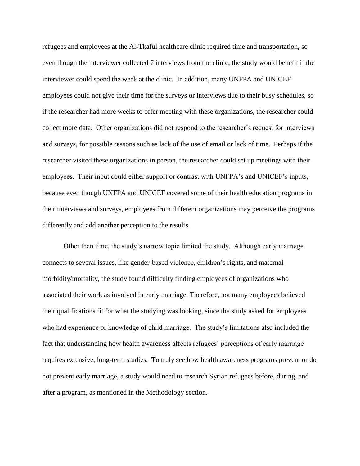refugees and employees at the Al-Tkaful healthcare clinic required time and transportation, so even though the interviewer collected 7 interviews from the clinic, the study would benefit if the interviewer could spend the week at the clinic. In addition, many UNFPA and UNICEF employees could not give their time for the surveys or interviews due to their busy schedules, so if the researcher had more weeks to offer meeting with these organizations, the researcher could collect more data. Other organizations did not respond to the researcher's request for interviews and surveys, for possible reasons such as lack of the use of email or lack of time. Perhaps if the researcher visited these organizations in person, the researcher could set up meetings with their employees. Their input could either support or contrast with UNFPA's and UNICEF's inputs, because even though UNFPA and UNICEF covered some of their health education programs in their interviews and surveys, employees from different organizations may perceive the programs differently and add another perception to the results.

Other than time, the study's narrow topic limited the study. Although early marriage connects to several issues, like gender-based violence, children's rights, and maternal morbidity/mortality, the study found difficulty finding employees of organizations who associated their work as involved in early marriage. Therefore, not many employees believed their qualifications fit for what the studying was looking, since the study asked for employees who had experience or knowledge of child marriage. The study's limitations also included the fact that understanding how health awareness affects refugees' perceptions of early marriage requires extensive, long-term studies. To truly see how health awareness programs prevent or do not prevent early marriage, a study would need to research Syrian refugees before, during, and after a program, as mentioned in the Methodology section.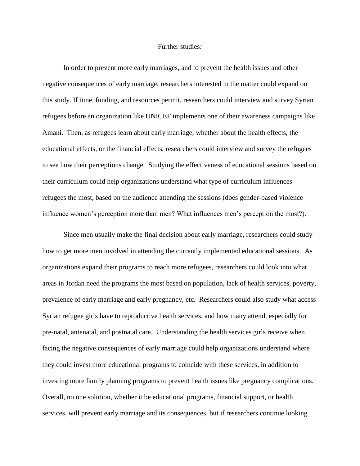#### Further studies:

In order to prevent more early marriages, and to prevent the health issues and other negative consequences of early marriage, researchers interested in the matter could expand on this study. If time, funding, and resources permit, researchers could interview and survey Syrian refugees before an organization like UNICEF implements one of their awareness campaigns like Amani. Then, as refugees learn about early marriage, whether about the health effects, the educational effects, or the financial effects, researchers could interview and survey the refugees to see how their perceptions change. Studying the effectiveness of educational sessions based on their curriculum could help organizations understand what type of curriculum influences refugees the most, based on the audience attending the sessions (does gender-based violence influence women's perception more than men? What influences men's perception the most?).

Since men usually make the final decision about early marriage, researchers could study how to get more men involved in attending the currently implemented educational sessions. As organizations expand their programs to reach more refugees, researchers could look into what areas in Jordan need the programs the most based on population, lack of health services, poverty, prevalence of early marriage and early pregnancy, etc. Researchers could also study what access Syrian refugee girls have to reproductive health services, and how many attend, especially for pre-natal, antenatal, and postnatal care. Understanding the health services girls receive when facing the negative consequences of early marriage could help organizations understand where they could invest more educational programs to coincide with these services, in addition to investing more family planning programs to prevent health issues like pregnancy complications. Overall, no one solution, whether it be educational programs, financial support, or health services, will prevent early marriage and its consequences, but if researchers continue looking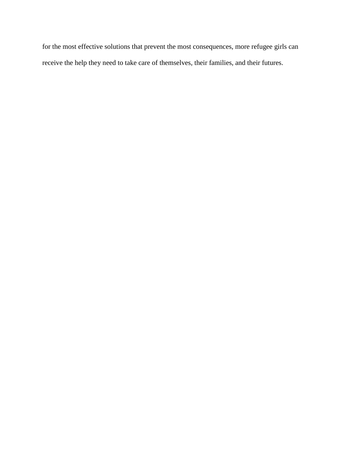for the most effective solutions that prevent the most consequences, more refugee girls can receive the help they need to take care of themselves, their families, and their futures.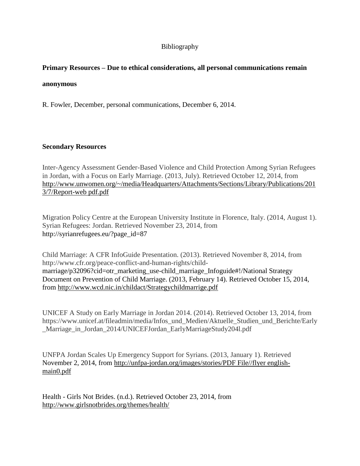# Bibliography

# **Primary Resources – Due to ethical considerations, all personal communications remain**

### **anonymous**

R. Fowler, December, personal communications, December 6, 2014.

# **Secondary Resources**

Inter-Agency Assessment Gender-Based Violence and Child Protection Among Syrian Refugees in Jordan, with a Focus on Early Marriage. (2013, July). Retrieved October 12, 2014, from [http://www.unwomen.org/~/media/Headquarters/Attachments/Sections/Library/Publications/201](http://www.unwomen.org/~/media/Headquarters/Attachments/Sections/Library/Publications/2013/7/Report-web%20pdf.pdf) [3/7/Report-web pdf.pdf](http://www.unwomen.org/~/media/Headquarters/Attachments/Sections/Library/Publications/2013/7/Report-web%20pdf.pdf)

Migration Policy Centre at the European University Institute in Florence, Italy. (2014, August 1). Syrian Refugees: Jordan. Retrieved November 23, 2014, from [http://syrianrefugees.eu/?page\\_id=87](http://syrianrefugees.eu/?page_id=87)

Child Marriage: A CFR InfoGuide Presentation. (2013). Retrieved November 8, 2014, from http://www.cfr.org/peace-conflict-and-human-rights/childmarriage/p32096?cid=otr\_marketing\_use-child\_marriage\_Infoguide#!/National Strategy Document on Prevention of Child Marriage. (2013, February 14). Retrieved October 15, 2014, from<http://www.wcd.nic.in/childact/Strategychildmarrige.pdf>

UNICEF A Study on Early Marriage in Jordan 2014. (2014). Retrieved October 13, 2014, from https://www.unicef.at/fileadmin/media/Infos\_und\_Medien/Aktuelle\_Studien\_und\_Berichte/Early \_Marriage\_in\_Jordan\_2014/UNICEFJordan\_EarlyMarriageStudy204l.pdf

UNFPA Jordan Scales Up Emergency Support for Syrians. (2013, January 1). Retrieved November 2, 2014, from [http://unfpa-jordan.org/images/stories/PDF File//flyer english](http://unfpa-jordan.org/images/stories/PDF%20File/flyer%20english-main0.pdf)[main0.pdf](http://unfpa-jordan.org/images/stories/PDF%20File/flyer%20english-main0.pdf)

Health - Girls Not Brides. (n.d.). Retrieved October 23, 2014, from <http://www.girlsnotbrides.org/themes/health/>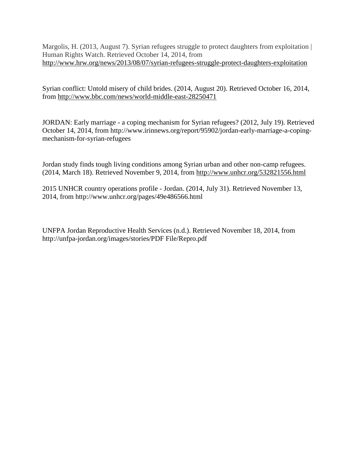Margolis, H. (2013, August 7). Syrian refugees struggle to protect daughters from exploitation | Human Rights Watch. Retrieved October 14, 2014, from <http://www.hrw.org/news/2013/08/07/syrian-refugees-struggle-protect-daughters-exploitation>

Syrian conflict: Untold misery of child brides. (2014, August 20). Retrieved October 16, 2014, from<http://www.bbc.com/news/world-middle-east-28250471>

JORDAN: Early marriage - a coping mechanism for Syrian refugees? (2012, July 19). Retrieved October 14, 2014, from http://www.irinnews.org/report/95902/jordan-early-marriage-a-copingmechanism-for-syrian-refugees

Jordan study finds tough living conditions among Syrian urban and other non-camp refugees. (2014, March 18). Retrieved November 9, 2014, from<http://www.unhcr.org/532821556.html>

2015 UNHCR country operations profile - Jordan. (2014, July 31). Retrieved November 13, 2014, from http://www.unhcr.org/pages/49e486566.html

UNFPA Jordan Reproductive Health Services (n.d.). Retrieved November 18, 2014, from http://unfpa-jordan.org/images/stories/PDF File/Repro.pdf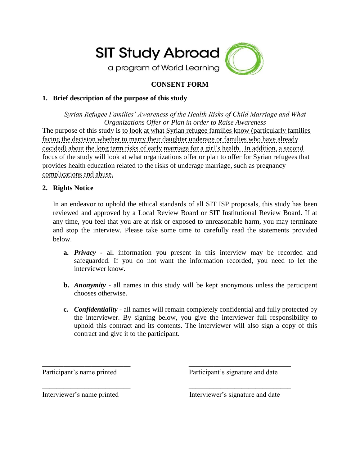

# **CONSENT FORM**

# **1. Brief description of the purpose of this study**

*Syrian Refugee Families' Awareness of the Health Risks of Child Marriage and What Organizations Offer or Plan in order to Raise Awareness* The purpose of this study is to look at what Syrian refugee families know (particularly families facing the decision whether to marry their daughter underage or families who have already decided) about the long term risks of early marriage for a girl's health. In addition, a second focus of the study will look at what organizations offer or plan to offer for Syrian refugees that provides health education related to the risks of underage marriage, such as pregnancy complications and abuse.

# **2. Rights Notice**

In an endeavor to uphold the ethical standards of all SIT ISP proposals, this study has been reviewed and approved by a Local Review Board or SIT Institutional Review Board. If at any time, you feel that you are at risk or exposed to unreasonable harm, you may terminate and stop the interview. Please take some time to carefully read the statements provided below.

- **a.** *Privacy -* all information you present in this interview may be recorded and safeguarded. If you do not want the information recorded, you need to let the interviewer know.
- **b.** *Anonymity -* all names in this study will be kept anonymous unless the participant chooses otherwise.
- **c.** *Confidentiality*  all names will remain completely confidential and fully protected by the interviewer. By signing below, you give the interviewer full responsibility to uphold this contract and its contents. The interviewer will also sign a copy of this contract and give it to the participant.

\_\_\_\_\_\_\_\_\_\_\_\_\_\_\_\_\_\_\_\_\_\_\_\_\_ \_\_\_\_\_\_\_\_\_\_\_\_\_\_\_\_\_\_\_\_\_\_\_\_\_\_\_\_\_

\_\_\_\_\_\_\_\_\_\_\_\_\_\_\_\_\_\_\_\_\_\_\_\_\_ \_\_\_\_\_\_\_\_\_\_\_\_\_\_\_\_\_\_\_\_\_\_\_\_\_\_\_\_\_

Participant's name printed Participant's signature and date

Interviewer's name printed Interviewer's signature and date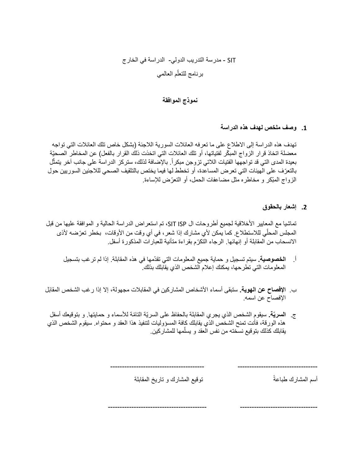#### SIT - مدرسة التدريب الدولي- الدراسة في الخارج برنامج للتعلّم العالمي ٳ

# **نموذج الموافقة**

**.1 وصف ملخص لهدف هذه الدراسة**

تهدف هذه الدراسة إلى الاطلاع على ما تعرفه العائلات السورية اللاجئة (بشكل خاص تلك العائلات التي تواجه معضلة اتخاذ قرار الزواج المبكّر لفتياتها، أو تلك العائلات التي اتخذت ذلك القرار بالفعل) عن المخاطر الصحيّة بعيدة المدى التي قد تواجهها الفتيات اللاتي تزوجن مبكراً. بالإضافة لذلك، ستركز الدراسة على جانب آخر يتمثّل ؘ بالتعّرف على الهيئات التي تعرض المساعدة، أو تخطط لها فيما يختص بالتثقيف الصحي للالجئين السوريين حول الزواج المبّكر و مخاطره مثل مضاعفات الحمل، أو التعّرض لإلساءة.

# **.2 إشعار بالحقوق**

تماشيا مع المعايير الأخلاقية لجميع أطروحات ال SIT ISP، تم استعراض الدراسة الحالية و الموافقة عليها من قبل المجلس المحلّي لللاستطلاع. كما يمكن لأي مشارك إذا شعر، في أي وقت من الأوقات، بخطر تعرّضه لأذى االنسحاب من المقابلة أو إنهائها. الرجاء التكّرم بقراءة متأنية للعبارات المذكورة أسفل.

- أ. **الخصوصية.** سيتم تسجيل و حماية جميع المعلومات التي تقدّمها في هذه المقابلة. إذا لم ترغب بتسجيل المعلومات التي تطرحها، يمكنك إعالم الشخص الذي يقابلك بذلك.
- ب. **اإلفصاح عن الهوية.** ستبقى أسماء األشخاص المشاركين في المقابالت مجهولة، إال إذا رغب الشخص المقاب ل اإلفصاح عن اسمه.
- ج. **السريّة.** سيقوم الشخص الذي يجري المقابلة بالحفاظ على السريّة التا ّمة لألسماء و حمايتها. و بتوقيعك أسفل هذه الورقة، فأنت تمنح الشخص الذي يقابلك كافة المسؤوليات لتنفيذ هذا العقد و محتواه. سيقوم الشخص الذي يقابلك كذلك بتوقيع نسخته من نفس العقد و يسلّمها للمشاركين. j

أسم المشارك طباعة توقيع المشارك و تاريخ المقابلة

---------------------------------------- ----------------------------------

------------------------------------------ ---------------------------------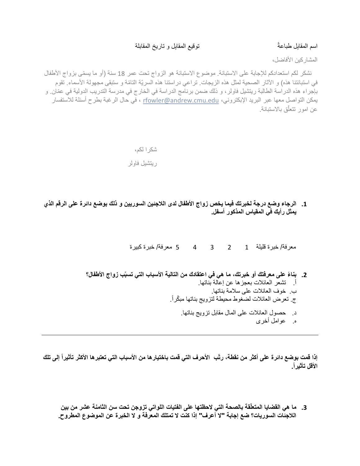#### اسم المقابل طباعةً ِ اسم المقابلة و تاريخ المقابل و تاريخ المقابلة

المشار كين الأفاضل،

نشكر لكم استعدادكم للإجابة على الاستبانة. موضوع الاستبانة هو الزواج تحت عمر 18 سنة (أو ما يسمّى بزواج الأطفال في استبانتنا هذه) و الآثار الصحية لمثل هذه الزيجات. تراعي دراستنا هذه السريّة التامّة و ستبقى مجهولة الأسماء. تقوم بإجراء هذه الدراسة الطالبة ريتشيل فاولر، و ذلك ضمن برنامج الدراسة في الخارج في مدرسة التدريب الدولية في عمّان. و يمكن التواصل معها عبر البريد اإلبكتروني، [edu.cmu.andrew@rfowler](mailto:rfowler@andrew.cmu.edu) ، في حال الرغبة بطرح أسئلة لالستفسار عن امور تتعلّق بالاستبانة.

 شكرا لكم، ريتشيل فاولر

**.1 الرجاء وضع درجة لخبرتك فيما يخص زواج األطفال لدى الالجئين السوريين و ذلك بوضع دائرة على الرقم الذي يمثل رأيك في المقياس المذكور أسفل.**

معرفة/ خبرة قليلة 1 2 3 4 5 معرفة/ خبرة كبيرة

**.2 بنا ًء على معرفتك أو خبرتك، ما هي في اعتقادك من التالية األسباب التي تسبّب زواج األطفال؟** أ. تشعر العائالت بعجزها عن إعالة بناتها. ب. خوف العائالت على سالمة بناتها. ج. تعرض العائلات لضغوط محيطة لتزويج بناتها مبكّراً. د. حصول العائالت على المال مقابل تزويج بناتها. ه. عوامل أخرى

إذا قمت بوضع دائرة على أكثر من نقطة، رتّب الأحرف التي قمت باختيار ها من الأسباب التي تعتبر ها الأكثر تأثيراً إلى تلك **األقل تأثيرا.ً**

3. ما هي القضايا المتعلِّقة بالصحة التي لاحظتها على الفتيات اللواتي تزوجن تحت سن الثامنة عشر من بين **الالجئات السوريات؟ ضع إجابة "ال أعرف" إذا كنت ال تمتلك المعرفة و ال الخبرة عن الموضوع المطروح.**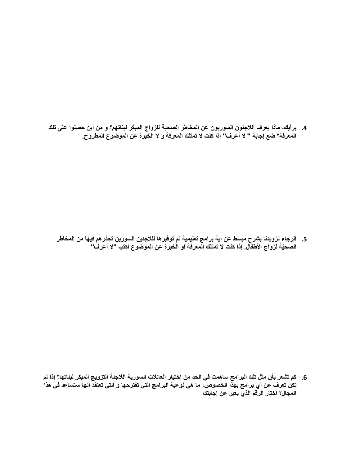**.4 برأيك، ماذا يعرف الالجئون السوريون عن المخاطر الصحية للزواج المب ّكر لبناتهم؟ و من أين حصلوا على تلك المعرفة؟ ضع إجابة " ال أعرف" إذا كنت ال تمتلك المعرفة و ال الخبرة عن الموضوع المطروح.**

**.5 الرجاء تزويدنا بشرح مبسط عن أية برامج تعليمية تم توفيرها للالجئين السورين تحذرهم فيها من المخاطر الصحيّة لزواج األطفال. إذا كنت ال تمتلك المعرفة او الخبرة عن الموضوع اكتب "ال أعرف"**

**.6 كم تشعر بأن مثل تلك البرامج ساهمت في الحد من اختيار العائالت السورية الالجئة التزويج المبكر لبناتها؟ إذا لم تكن تعرف عن أي برامج بهذا الخصوص، ما هي نوعية البرامج التي تقترحها و التي تعتقد انها ستساعد في هذا المجال؟ اختار الرقم الذي يعبر عن إجابتك**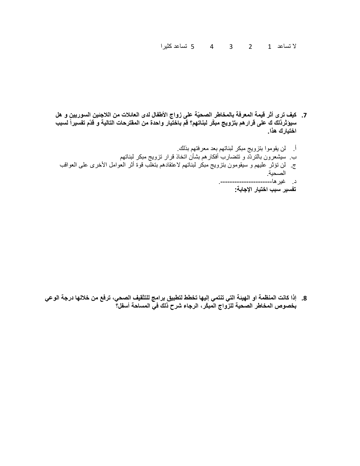ال تساعد 1 2 3 4 5 تساعد كثيرا

- **.7 كيف ترى أثر قيمة المعرفة بالمخاطر الصحيّة على زواج األطفال لدى العائالت من الالجئين السوريين و هل سيؤثرذلك ك على قرارهم بتزويج مب ّكر لبناتهم؟ قم باختيار واحدة من المقترحات التالية و قدّم تفسيراً لسبب اختيارك هذا.**
	- أ. لن يقوموا بتزويج مبكر لبناتهم بعد معرفتهم بذلك. ب. سيشعرون بالتردّد و تتضارب أفكارهم بشأن اتخاذ قرار تزويج مبكر لبناتهم ج. لن تؤثر عليهم و سيقومون بتزويج مبكر لبناتهم العتقادهم بتغلب قوة أثر العوامل األخرى على العواقب الصحية. د. غيرها.---------------------- **تفسير سبب اختيار اإلجابة:**

**.8 إذا كانت المنظمة او الهيئة التي تنتمي إليها تخطط لتطبيق برامج للتثقيف الصحي، ترفع من خاللها درجة الوعي بخصوص المخاطر الصحية للزواج المب ّكر، الرجاء شرح ذلك في المساحة أسفل؟**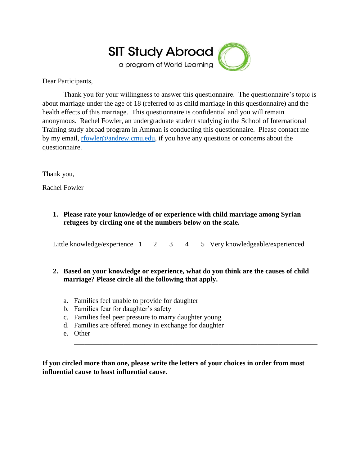

Dear Participants,

Thank you for your willingness to answer this questionnaire. The questionnaire's topic is about marriage under the age of 18 (referred to as child marriage in this questionnaire) and the health effects of this marriage. This questionnaire is confidential and you will remain anonymous. Rachel Fowler, an undergraduate student studying in the School of International Training study abroad program in Amman is conducting this questionnaire. Please contact me by my email, [rfowler@andrew.cmu.edu,](mailto:rfowler@andrew.cmu.edu) if you have any questions or concerns about the questionnaire.

Thank you,

Rachel Fowler

**1. Please rate your knowledge of or experience with child marriage among Syrian refugees by circling one of the numbers below on the scale.**

Little knowledge/experience 1 2 3 4 5 Very knowledgeable/experienced

# **2. Based on your knowledge or experience, what do you think are the causes of child marriage? Please circle all the following that apply.**

- a. Families feel unable to provide for daughter
- b. Families fear for daughter's safety
- c. Families feel peer pressure to marry daughter young
- d. Families are offered money in exchange for daughter
- e. Other

**If you circled more than one, please write the letters of your choices in order from most influential cause to least influential cause.**

\_\_\_\_\_\_\_\_\_\_\_\_\_\_\_\_\_\_\_\_\_\_\_\_\_\_\_\_\_\_\_\_\_\_\_\_\_\_\_\_\_\_\_\_\_\_\_\_\_\_\_\_\_\_\_\_\_\_\_\_\_\_\_\_\_\_\_\_\_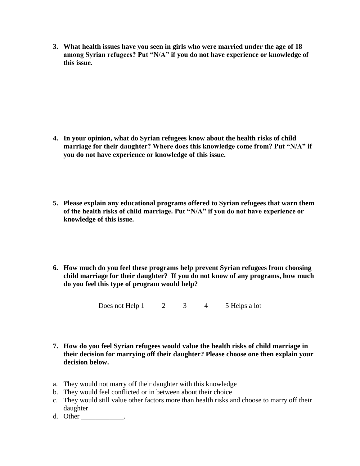**3. What health issues have you seen in girls who were married under the age of 18 among Syrian refugees? Put "N/A" if you do not have experience or knowledge of this issue.**

- **4. In your opinion, what do Syrian refugees know about the health risks of child marriage for their daughter? Where does this knowledge come from? Put "N/A" if you do not have experience or knowledge of this issue.**
- **5. Please explain any educational programs offered to Syrian refugees that warn them of the health risks of child marriage. Put "N/A" if you do not have experience or knowledge of this issue.**
- **6. How much do you feel these programs help prevent Syrian refugees from choosing child marriage for their daughter? If you do not know of any programs, how much do you feel this type of program would help?**

Does not Help  $1 \t 2 \t 3 \t 4 \t 5$  Helps a lot

- **7. How do you feel Syrian refugees would value the health risks of child marriage in their decision for marrying off their daughter? Please choose one then explain your decision below.**
- a. They would not marry off their daughter with this knowledge
- b. They would feel conflicted or in between about their choice
- c. They would still value other factors more than health risks and choose to marry off their daughter
- d. Other \_\_\_\_\_\_\_\_\_\_\_\_\_.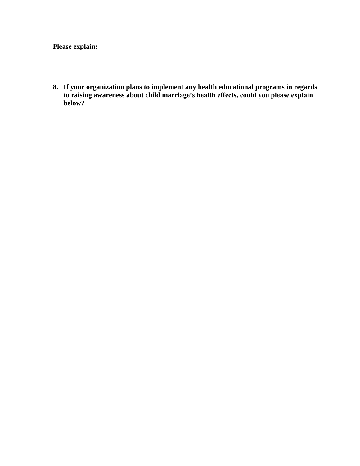**Please explain:**

**8. If your organization plans to implement any health educational programs in regards to raising awareness about child marriage's health effects, could you please explain below?**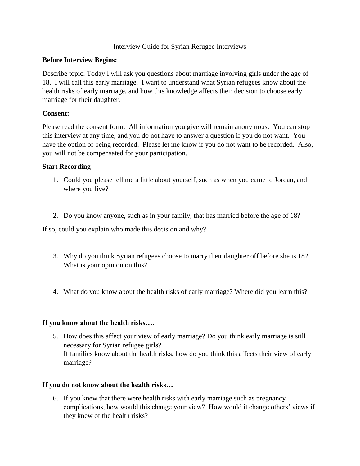# Interview Guide for Syrian Refugee Interviews

# **Before Interview Begins:**

Describe topic: Today I will ask you questions about marriage involving girls under the age of 18. I will call this early marriage. I want to understand what Syrian refugees know about the health risks of early marriage, and how this knowledge affects their decision to choose early marriage for their daughter.

# **Consent:**

Please read the consent form. All information you give will remain anonymous. You can stop this interview at any time, and you do not have to answer a question if you do not want. You have the option of being recorded. Please let me know if you do not want to be recorded. Also, you will not be compensated for your participation.

# **Start Recording**

- 1. Could you please tell me a little about yourself, such as when you came to Jordan, and where you live?
- 2. Do you know anyone, such as in your family, that has married before the age of 18?

If so, could you explain who made this decision and why?

- 3. Why do you think Syrian refugees choose to marry their daughter off before she is 18? What is your opinion on this?
- 4. What do you know about the health risks of early marriage? Where did you learn this?

# **If you know about the health risks….**

5. How does this affect your view of early marriage? Do you think early marriage is still necessary for Syrian refugee girls? If families know about the health risks, how do you think this affects their view of early marriage?

# **If you do not know about the health risks…**

6. If you knew that there were health risks with early marriage such as pregnancy complications, how would this change your view? How would it change others' views if they knew of the health risks?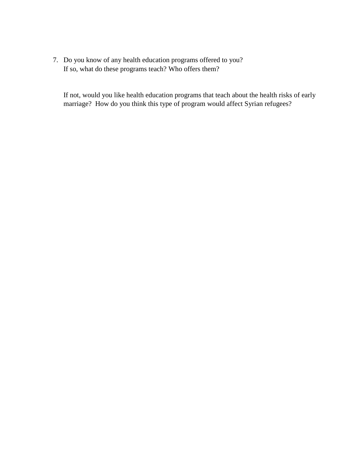7. Do you know of any health education programs offered to you? If so, what do these programs teach? Who offers them?

If not, would you like health education programs that teach about the health risks of early marriage? How do you think this type of program would affect Syrian refugees?